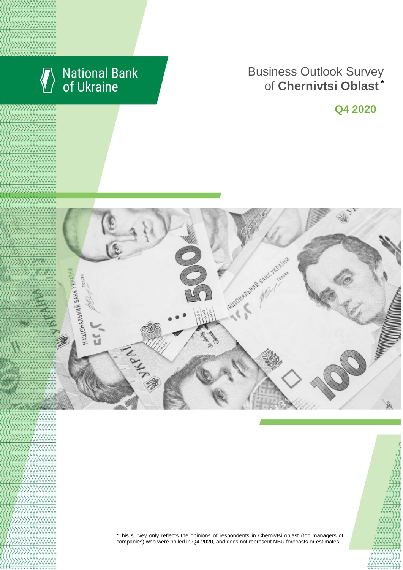

# National Bank<br>of Ukraine

# **Business Outlook Survey** of **Chernivtsi Oblast** \*

**Q4 2020**



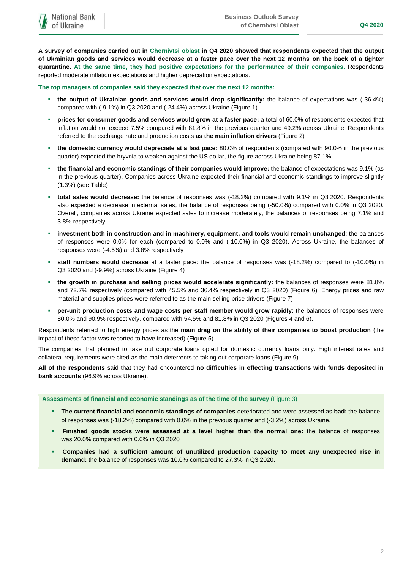**A survey of companies carried out in Chernivtsi oblast in Q4 2020 showed that respondents expected that the output of Ukrainian goods and services would decrease at a faster pace over the next 12 months on the back of a tighter quarantine. At the same time, they had positive expectations for the performance of their companies.** Respondents reported moderate inflation expectations and higher depreciation expectations.

**The top managers of companies said they expected that over the next 12 months:**

- **the output of Ukrainian goods and services would drop significantly:** the balance of expectations was (-36.4%) compared with (-9.1%) in Q3 2020 and (-24.4%) across Ukraine (Figure 1)
- **prices for consumer goods and services would grow at a faster pace:** a total of 60.0% of respondents expected that inflation would not exceed 7.5% compared with 81.8% in the previous quarter and 49.2% across Ukraine. Respondents referred to the exchange rate and production costs **as the main inflation drivers** (Figure 2)
- **the domestic currency would depreciate at a fast pace:** 80.0% of respondents (compared with 90.0% in the previous quarter) expected the hryvnia to weaken against the US dollar, the figure across Ukraine being 87.1%
- **the financial and economic standings of their companies would improve:** the balance of expectations was 9.1% (as in the previous quarter). Companies across Ukraine expected their financial and economic standings to improve slightly (1.3%) (see Table)
- **total sales would decrease:** the balance of responses was (-18.2%) compared with 9.1% in Q3 2020. Respondents also expected a decrease in external sales, the balance of responses being (-50.0%) compared with 0.0% in Q3 2020. Overall, companies across Ukraine expected sales to increase moderately, the balances of responses being 7.1% and 3.8% respectively
- **investment both in construction and in machinery, equipment, and tools would remain unchanged**: the balances of responses were 0.0% for each (compared to 0.0% and (-10.0%) in Q3 2020). Across Ukraine, the balances of responses were (-4.5%) and 3.8% respectively
- **staff numbers would decrease** at a faster pace: the balance of responses was (-18.2%) compared to (-10.0%) in Q3 2020 and (-9.9%) across Ukraine (Figure 4)
- **the growth in purchase and selling prices would accelerate significantly:** the balances of responses were 81.8% and 72.7% respectively (compared with 45.5% and 36.4% respectively in Q3 2020) (Figure 6). Energy prices and raw material and supplies prices were referred to as the main selling price drivers (Figure 7)
- **per-unit production costs and wage costs per staff member would grow rapidly**: the balances of responses were 80.0% and 90.9% respectively, compared with 54.5% and 81.8% in Q3 2020 (Figures 4 and 6).

Respondents referred to high energy prices as the **main drag on the ability of their companies to boost production** (the impact of these factor was reported to have increased) (Figure 5).

The companies that planned to take out corporate loans opted for domestic currency loans only. High interest rates and collateral requirements were cited as the main deterrents to taking out corporate loans (Figure 9).

**All of the respondents** said that they had encountered **no difficulties in effecting transactions with funds deposited in bank accounts** (96.9% across Ukraine).

**Assessments of financial and economic standings as of the time of the survey** (Figure 3)

- **The current financial and economic standings of companies** deteriorated and were assessed as **bad:** the balance of responses was (-18.2%) compared with 0.0% in the previous quarter and (-3.2%) across Ukraine.
- **Finished goods stocks were assessed at a level higher than the normal one:** the balance of responses was 20.0% compared with 0.0% in Q3 2020
- **Companies had a sufficient amount of unutilized production capacity to meet any unexpected rise in demand:** the balance of responses was 10.0% compared to 27.3% in Q3 2020.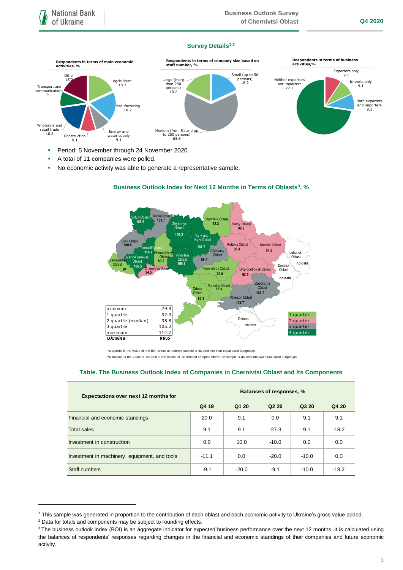# **Survey Details1,2**



- A total of 11 companies were polled.
- No economic activity was able to generate a representative sample.



# **Business Outlook Index for Next 12 Months in Terms of Oblasts<sup>3</sup>, %**

 \*a quartile is the v alue of the BOI where an ordered sample is div ided into f our equal-sized subgroups \*\*a median is the v alue of the BOI in the middle of an ordered sampled where the sample is divided into two equal-sized subgroups

## **Table. The Business Outlook Index of Companies in Chernivtsi Oblast and Its Components**

| <b>Expectations over next 12 months for</b>   | Balances of responses, % |         |                               |         |         |
|-----------------------------------------------|--------------------------|---------|-------------------------------|---------|---------|
|                                               | Q4 19                    | Q1 20   | Q <sub>2</sub> 2 <sub>0</sub> | Q3 20   | Q4 20   |
| Financial and economic standings              | 20.0                     | 9.1     | 0.0                           | 9.1     | 9.1     |
| <b>Total sales</b>                            | 9.1                      | 9.1     | $-27.3$                       | 9.1     | $-18.2$ |
| Investment in construction                    | 0.0                      | 10.0    | $-10.0$                       | 0.0     | 0.0     |
| Investment in machinery, equipment, and tools | $-11.1$                  | 0.0     | $-20.0$                       | $-10.0$ | 0.0     |
| Staff numbers                                 | $-9.1$                   | $-20.0$ | $-9.1$                        | $-10.0$ | $-18.2$ |

<sup>2</sup> Data for totals and components may be subject to rounding effects.

1

<sup>1</sup> This sample was generated in proportion to the contribution of each oblast and each economic activity to Ukraine's gross value added.

<sup>&</sup>lt;sup>3</sup> The business outlook index (BOI) is an aggregate indicator for expected business performance over the next 12 months. It is calculated using the balances of respondents' responses regarding changes in the financial and economic standings of their companies and future economic activity.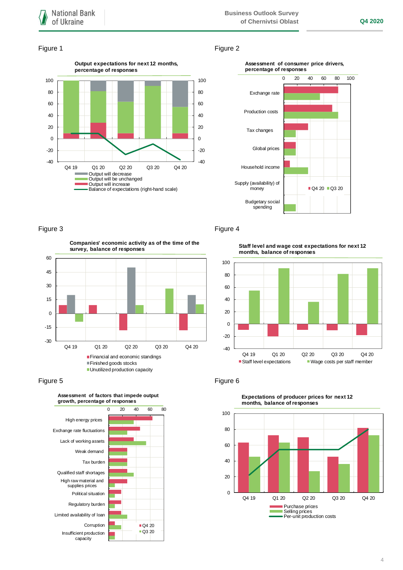# Figure 1 Figure 2





-30 -15 0 15 30 45 60 Q4 19 Q1 20 Q2 20 Q3 20 Q4 20 **Companies' economic activity as of the time of the survey, balance of responses** Financial and economic standings Finished goods stocks **Unutilized production capacity** 





# Figure 3 Figure 4

**Staff level and wage cost expectations for next 12 months, balance of responses**





**Expectations of producer prices for next 12 months, balance of responses**